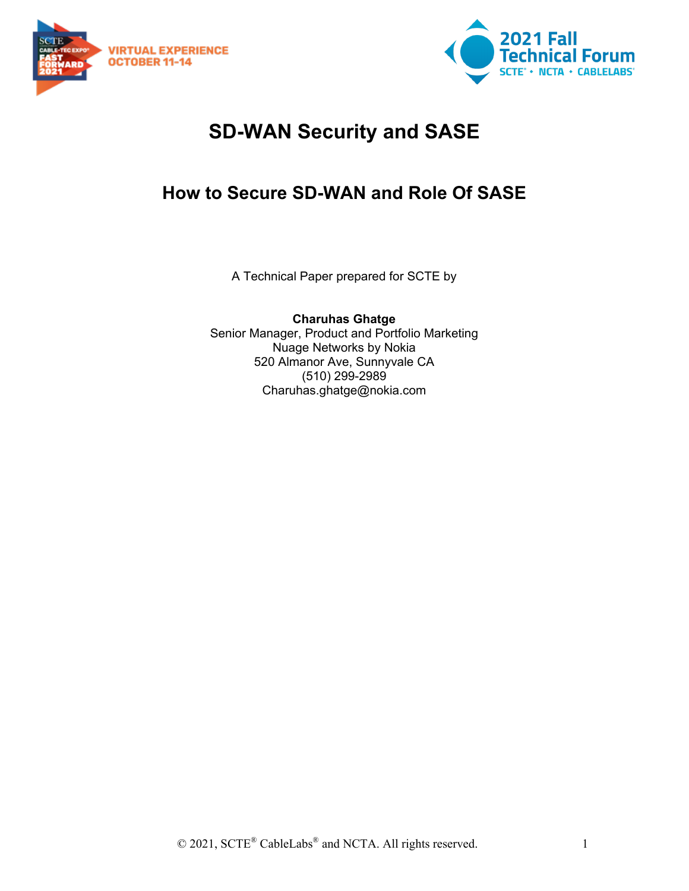



# **SD-WAN Security and SASE**

## **How to Secure SD-WAN and Role Of SASE**

A Technical Paper prepared for SCTE by

**Charuhas Ghatge** Senior Manager, Product and Portfolio Marketing Nuage Networks by Nokia 520 Almanor Ave, Sunnyvale CA (510) 299-2989 Charuhas.ghatge@nokia.com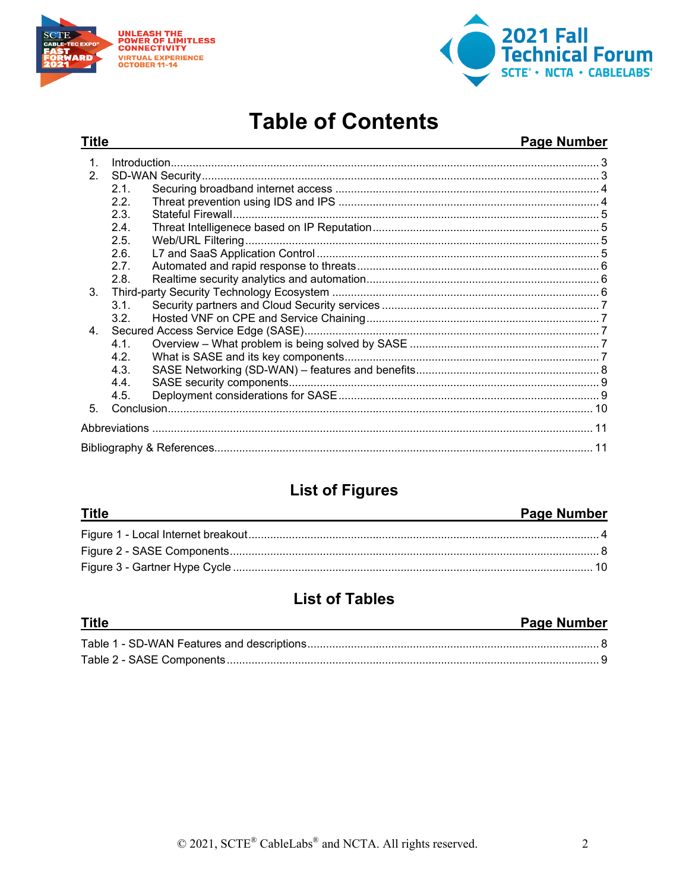

**Title** 



# **Table of Contents**

#### Page Number

| 1 <sub>1</sub> |      |  |
|----------------|------|--|
| 2 <sub>1</sub> |      |  |
|                | 2.1. |  |
|                | 2.2. |  |
|                | 2.3. |  |
|                | 2.4. |  |
|                | 2.5. |  |
|                | 2.6. |  |
|                | 2.7. |  |
|                | 2.8. |  |
| $3_{-}$        |      |  |
|                | 3.1. |  |
|                | 3.2. |  |
| $4_{\cdot}$    |      |  |
|                | 4.1. |  |
|                | 4.2. |  |
|                | 4.3. |  |
|                | 4.4. |  |
|                | 4.5. |  |
| 5.             |      |  |
|                |      |  |
|                |      |  |
|                |      |  |

## **List of Figures**

#### **Title**

#### **Page Number**

## **List of Tables**

| <b>Title</b> | Page Number |
|--------------|-------------|
|              |             |
|              |             |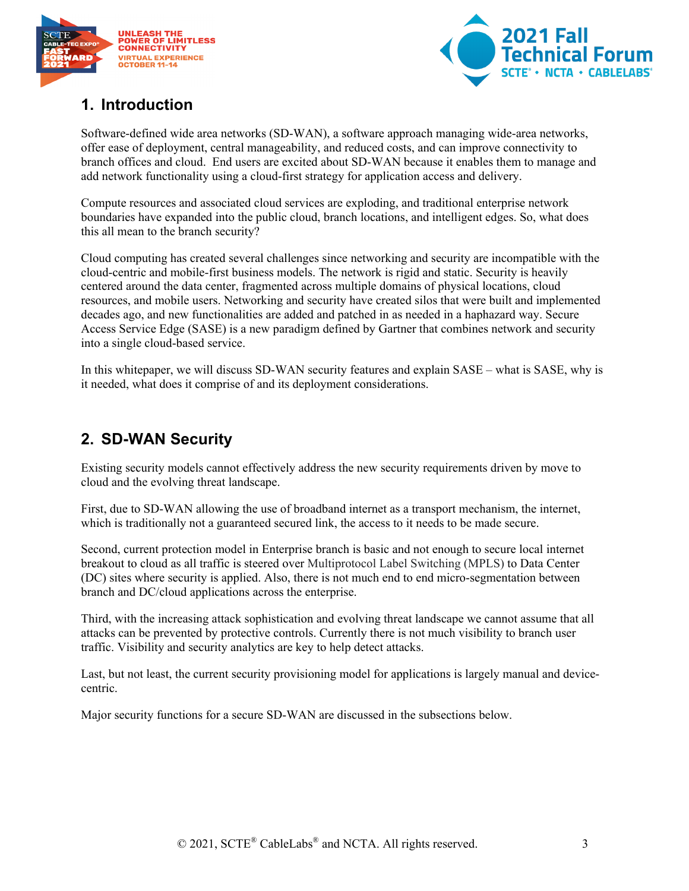



### <span id="page-2-0"></span>**1. Introduction**

Software-defined wide area networks (SD-WAN), a software approach managing wide-area networks, offer ease of deployment, central manageability, and reduced costs, and can improve connectivity to branch offices and cloud. End users are excited about SD-WAN because it enables them to manage and add network functionality using a cloud-first strategy for application access and delivery.

Compute resources and associated cloud services are exploding, and traditional enterprise network boundaries have expanded into the public cloud, branch locations, and intelligent edges. So, what does this all mean to the branch security?

Cloud computing has created several challenges since networking and security are incompatible with the cloud-centric and mobile-first business models. The network is rigid and static. Security is heavily centered around the data center, fragmented across multiple domains of physical locations, cloud resources, and mobile users. Networking and security have created silos that were built and implemented decades ago, and new functionalities are added and patched in as needed in a haphazard way. Secure Access Service Edge (SASE) is a new paradigm defined by Gartner that combines network and security into a single cloud-based service.

In this whitepaper, we will discuss SD-WAN security features and explain SASE – what is SASE, why is it needed, what does it comprise of and its deployment considerations.

### <span id="page-2-1"></span>**2. SD-WAN Security**

Existing security models cannot effectively address the new security requirements driven by move to cloud and the evolving threat landscape.

First, due to SD-WAN allowing the use of broadband internet as a transport mechanism, the internet, which is traditionally not a guaranteed secured link, the access to it needs to be made secure.

Second, current protection model in Enterprise branch is basic and not enough to secure local internet breakout to cloud as all traffic is steered over Multiprotocol Label Switching (MPLS) to Data Center (DC) sites where security is applied. Also, there is not much end to end micro-segmentation between branch and DC/cloud applications across the enterprise.

Third, with the increasing attack sophistication and evolving threat landscape we cannot assume that all attacks can be prevented by protective controls. Currently there is not much visibility to branch user traffic. Visibility and security analytics are key to help detect attacks.

Last, but not least, the current security provisioning model for applications is largely manual and devicecentric.

Major security functions for a secure SD-WAN are discussed in the subsections below.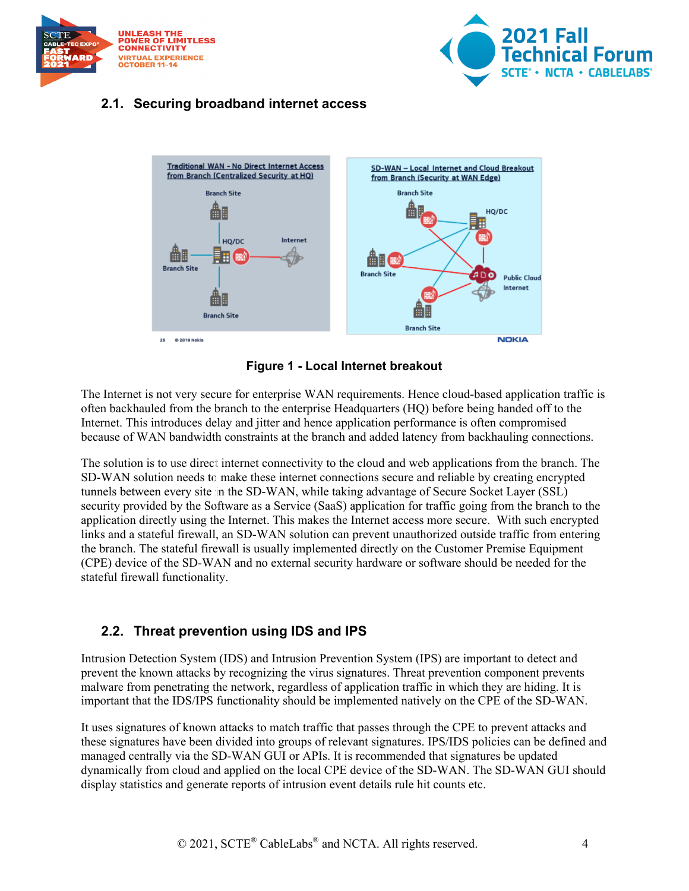



#### <span id="page-3-0"></span>**2.1. Securing broadband internet access**



**Figure 1 - Local Internet breakout**

<span id="page-3-2"></span>The Internet is not very secure for enterprise WAN requirements. Hence cloud-based application traffic is often backhauled from the branch to the enterprise Headquarters (HQ) before being handed off to the Internet. This introduces delay and jitter and hence application performance is often compromised because of WAN bandwidth constraints at the branch and added latency from backhauling connections.

The solution is to use direct internet connectivity to the cloud and web applications from the branch. The SD-WAN solution needs to make these internet connections secure and reliable by creating encrypted tunnels between every site in the SD-WAN, while taking advantage of Secure Socket Layer (SSL) security provided by the Software as a Service (SaaS) application for traffic going from the branch to the application directly using the Internet. This makes the Internet access more secure. With such encrypted links and a stateful firewall, an SD-WAN solution can prevent unauthorized outside traffic from entering the branch. The stateful firewall is usually implemented directly on the Customer Premise Equipment (CPE) device of the SD-WAN and no external security hardware or software should be needed for the stateful firewall functionality.

#### <span id="page-3-1"></span>**2.2. Threat prevention using IDS and IPS**

Intrusion Detection System (IDS) and Intrusion Prevention System (IPS) are important to detect and prevent the known attacks by recognizing the virus signatures. Threat prevention component prevents malware from penetrating the network, regardless of application traffic in which they are hiding. It is important that the IDS/IPS functionality should be implemented natively on the CPE of the SD-WAN.

It uses signatures of known attacks to match traffic that passes through the CPE to prevent attacks and these signatures have been divided into groups of relevant signatures. IPS/IDS policies can be defined and managed centrally via the SD-WAN GUI or APIs. It is recommended that signatures be updated dynamically from cloud and applied on the local CPE device of the SD-WAN. The SD-WAN GUI should display statistics and generate reports of intrusion event details rule hit counts etc.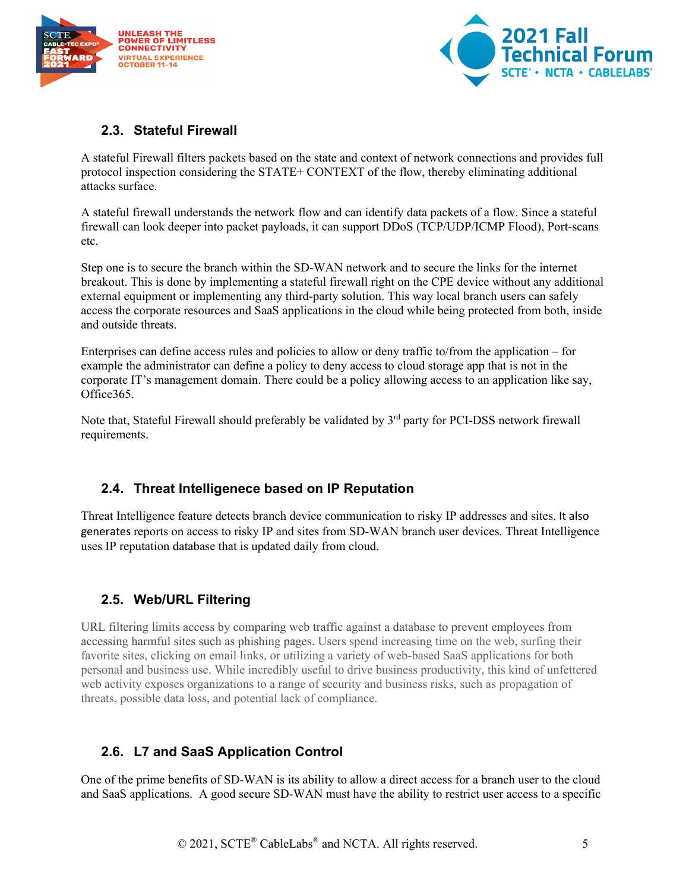



#### <span id="page-4-0"></span>**2.3. Stateful Firewall**

A stateful Firewall filters packets based on the state and context of network connections and provides full protocol inspection considering the STATE+ CONTEXT of the flow, thereby eliminating additional attacks surface.

A stateful firewall understands the network flow and can identify data packets of a flow. Since a stateful firewall can look deeper into packet payloads, it can support DDoS (TCP/UDP/ICMP Flood), Port-scans etc.

Step one is to secure the branch within the SD-WAN network and to secure the links for the internet breakout. This is done by implementing a stateful firewall right on the CPE device without any additional external equipment or implementing any third-party solution. This way local branch users can safely access the corporate resources and SaaS applications in the cloud while being protected from both, inside and outside threats.

Enterprises can define access rules and policies to allow or deny traffic to/from the application – for example the administrator can define a policy to deny access to cloud storage app that is not in the corporate IT's management domain. There could be a policy allowing access to an application like say, Office365.

Note that, Stateful Firewall should preferably be validated by 3<sup>rd</sup> party for PCI-DSS network firewall requirements.

#### <span id="page-4-1"></span>**2.4. Threat Intelligenece based on IP Reputation**

Threat Intelligence feature detects branch device communication to risky IP addresses and sites. It also generates reports on access to risky IP and sites from SD-WAN branch user devices. Threat Intelligence uses IP reputation database that is updated daily from cloud.

#### <span id="page-4-2"></span>**2.5. Web/URL Filtering**

URL filtering limits access by comparing web traffic against a database to prevent employees from accessing harmful sites such as phishing pages. Users spend increasing time on the web, surfing their favorite sites, clicking on email links, or utilizing a variety of web-based SaaS applications for both personal and business use. While incredibly useful to drive business productivity, this kind of unfettered web activity exposes organizations to a range of security and business risks, such as propagation of threats, possible data loss, and potential lack of compliance.

#### <span id="page-4-3"></span>**2.6. L7 and SaaS Application Control**

One of the prime benefits of SD-WAN is its ability to allow a direct access for a branch user to the cloud and SaaS applications. A good secure SD-WAN must have the ability to restrict user access to a specific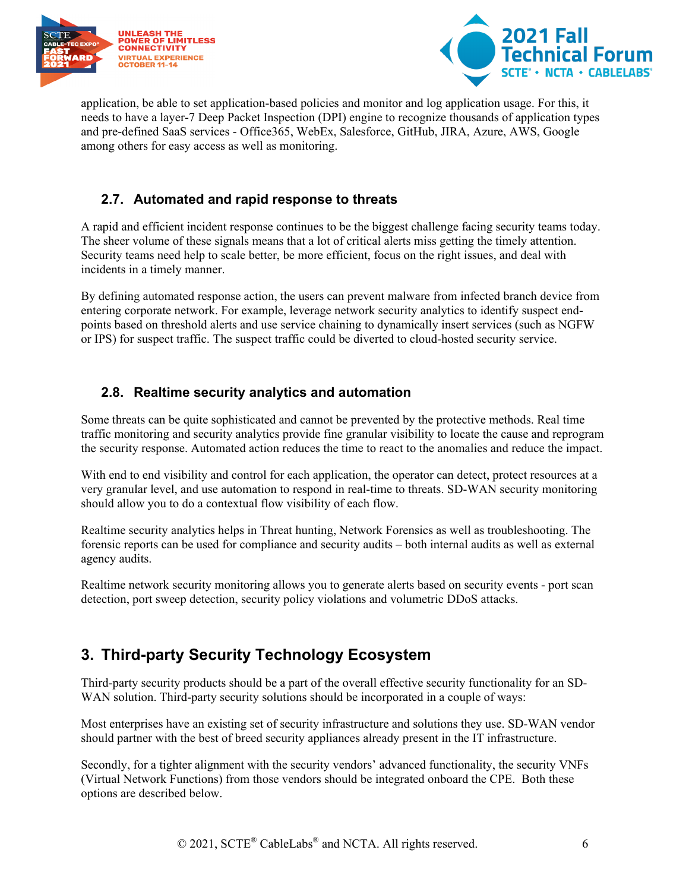



application, be able to set application-based policies and monitor and log application usage. For this, it needs to have a layer-7 Deep Packet Inspection (DPI) engine to recognize thousands of application types and pre-defined SaaS services - Office365, WebEx, Salesforce, GitHub, JIRA, Azure, AWS, Google among others for easy access as well as monitoring.

#### <span id="page-5-0"></span>**2.7. Automated and rapid response to threats**

A rapid and efficient incident response continues to be the biggest challenge facing security teams today. The sheer volume of these signals means that a lot of critical alerts miss getting the timely attention. Security teams need help to scale better, be more efficient, focus on the right issues, and deal with incidents in a timely manner.

By defining automated response action, the users can prevent malware from infected branch device from entering corporate network. For example, leverage network security analytics to identify suspect endpoints based on threshold alerts and use service chaining to dynamically insert services (such as NGFW or IPS) for suspect traffic. The suspect traffic could be diverted to cloud-hosted security service.

#### <span id="page-5-1"></span>**2.8. Realtime security analytics and automation**

Some threats can be quite sophisticated and cannot be prevented by the protective methods. Real time traffic monitoring and security analytics provide fine granular visibility to locate the cause and reprogram the security response. Automated action reduces the time to react to the anomalies and reduce the impact.

With end to end visibility and control for each application, the operator can detect, protect resources at a very granular level, and use automation to respond in real-time to threats. SD-WAN security monitoring should allow you to do a contextual flow visibility of each flow.

Realtime security analytics helps in Threat hunting, Network Forensics as well as troubleshooting. The forensic reports can be used for compliance and security audits – both internal audits as well as external agency audits.

Realtime network security monitoring allows you to generate alerts based on security events - port scan detection, port sweep detection, security policy violations and volumetric DDoS attacks.

## <span id="page-5-2"></span>**3. Third-party Security Technology Ecosystem**

Third-party security products should be a part of the overall effective security functionality for an SD-WAN solution. Third-party security solutions should be incorporated in a couple of ways:

Most enterprises have an existing set of security infrastructure and solutions they use. SD-WAN vendor should partner with the best of breed security appliances already present in the IT infrastructure.

Secondly, for a tighter alignment with the security vendors' advanced functionality, the security VNFs (Virtual Network Functions) from those vendors should be integrated onboard the CPE. Both these options are described below.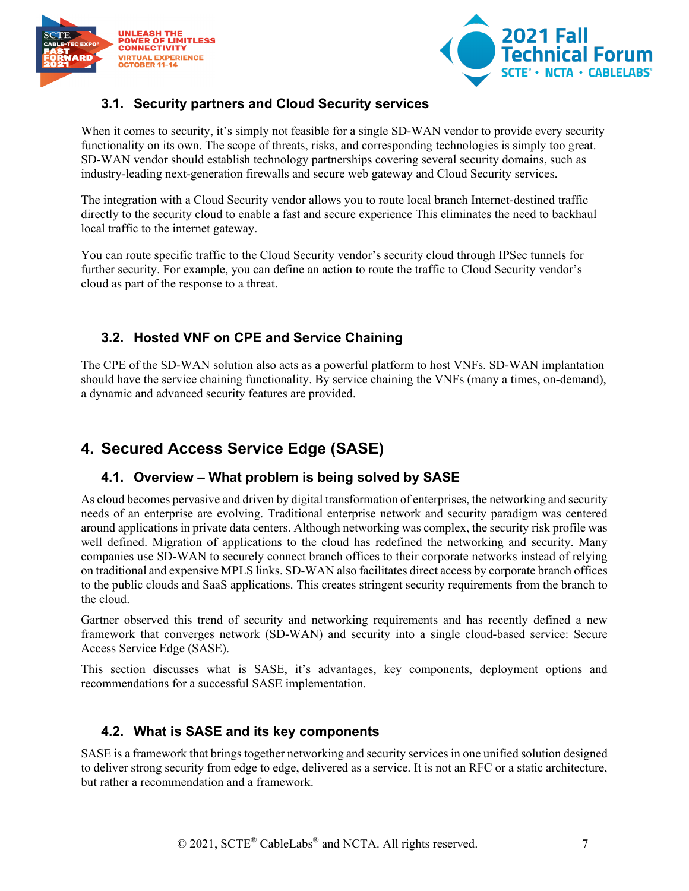



#### <span id="page-6-0"></span>**3.1. Security partners and Cloud Security services**

When it comes to security, it's simply not feasible for a single SD-WAN vendor to provide every security functionality on its own. The scope of threats, risks, and corresponding technologies is simply too great. SD-WAN vendor should establish technology partnerships covering several security domains, such as industry-leading next-generation firewalls and secure web gateway and Cloud Security services.

The integration with a Cloud Security vendor allows you to route local branch Internet-destined traffic directly to the security cloud to enable a fast and secure experience This eliminates the need to backhaul local traffic to the internet gateway.

You can route specific traffic to the Cloud Security vendor's security cloud through IPSec tunnels for further security. For example, you can define an action to route the traffic to Cloud Security vendor's cloud as part of the response to a threat.

#### <span id="page-6-1"></span>**3.2. Hosted VNF on CPE and Service Chaining**

The CPE of the SD-WAN solution also acts as a powerful platform to host VNFs. SD-WAN implantation should have the service chaining functionality. By service chaining the VNFs (many a times, on-demand), a dynamic and advanced security features are provided.

### <span id="page-6-2"></span>**4. Secured Access Service Edge (SASE)**

#### <span id="page-6-3"></span>**4.1. Overview – What problem is being solved by SASE**

As cloud becomes pervasive and driven by digital transformation of enterprises, the networking and security needs of an enterprise are evolving. Traditional enterprise network and security paradigm was centered around applications in private data centers. Although networking was complex, the security risk profile was well defined. Migration of applications to the cloud has redefined the networking and security. Many companies use SD-WAN to securely connect branch offices to their corporate networks instead of relying on traditional and expensive MPLS links. SD-WAN also facilitates direct access by corporate branch offices to the public clouds and SaaS applications. This creates stringent security requirements from the branch to the cloud.

Gartner observed this trend of security and networking requirements and has recently defined a new framework that converges network (SD-WAN) and security into a single cloud-based service: Secure Access Service Edge (SASE).

This section discusses what is SASE, it's advantages, key components, deployment options and recommendations for a successful SASE implementation.

#### <span id="page-6-4"></span>**4.2. What is SASE and its key components**

SASE is a framework that brings together networking and security services in one unified solution designed to deliver strong security from edge to edge, delivered as a service. It is not an RFC or a static architecture, but rather a recommendation and a framework.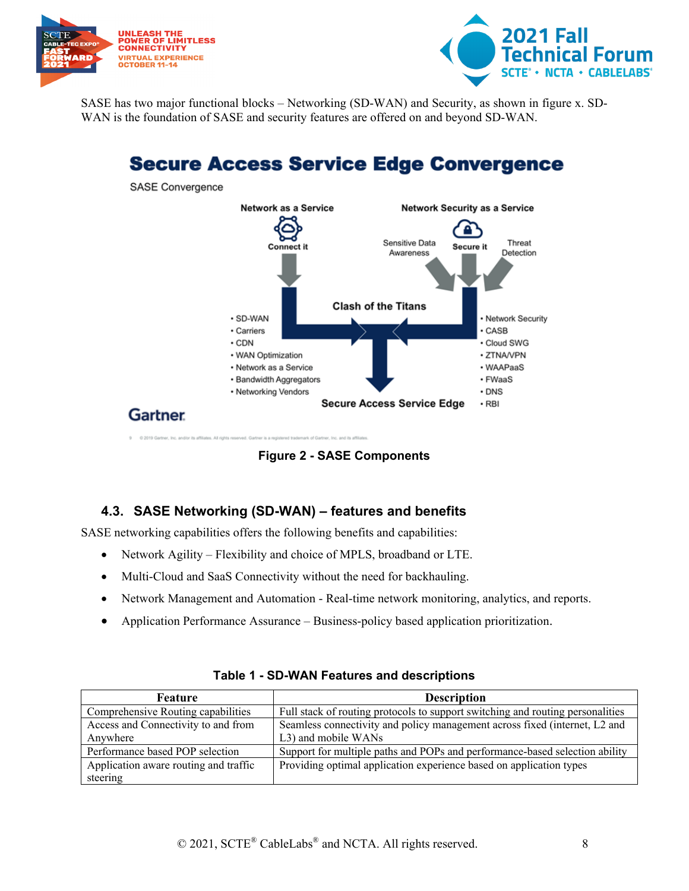



SASE has two major functional blocks – Networking (SD-WAN) and Security, as shown in figure x. SD-WAN is the foundation of SASE and security features are offered on and beyond SD-WAN.

## **Secure Access Service Edge Convergence**



**Figure 2 - SASE Components**

#### <span id="page-7-1"></span><span id="page-7-0"></span>**4.3. SASE Networking (SD-WAN) – features and benefits**

SASE networking capabilities offers the following benefits and capabilities:

- Network Agility Flexibility and choice of MPLS, broadband or LTE.
- Multi-Cloud and SaaS Connectivity without the need for backhauling.
- Network Management and Automation Real-time network monitoring, analytics, and reports.
- Application Performance Assurance Business-policy based application prioritization.

<span id="page-7-2"></span>

| <b>Feature</b>                        | <b>Description</b>                                                             |
|---------------------------------------|--------------------------------------------------------------------------------|
| Comprehensive Routing capabilities    | Full stack of routing protocols to support switching and routing personalities |
| Access and Connectivity to and from   | Seamless connectivity and policy management across fixed (internet, L2 and     |
| Anywhere                              | L3) and mobile WANs                                                            |
| Performance based POP selection       | Support for multiple paths and POPs and performance-based selection ability    |
| Application aware routing and traffic | Providing optimal application experience based on application types            |
| steering                              |                                                                                |

|  |  |  |  |  | Table 1 - SD-WAN Features and descriptions |
|--|--|--|--|--|--------------------------------------------|
|--|--|--|--|--|--------------------------------------------|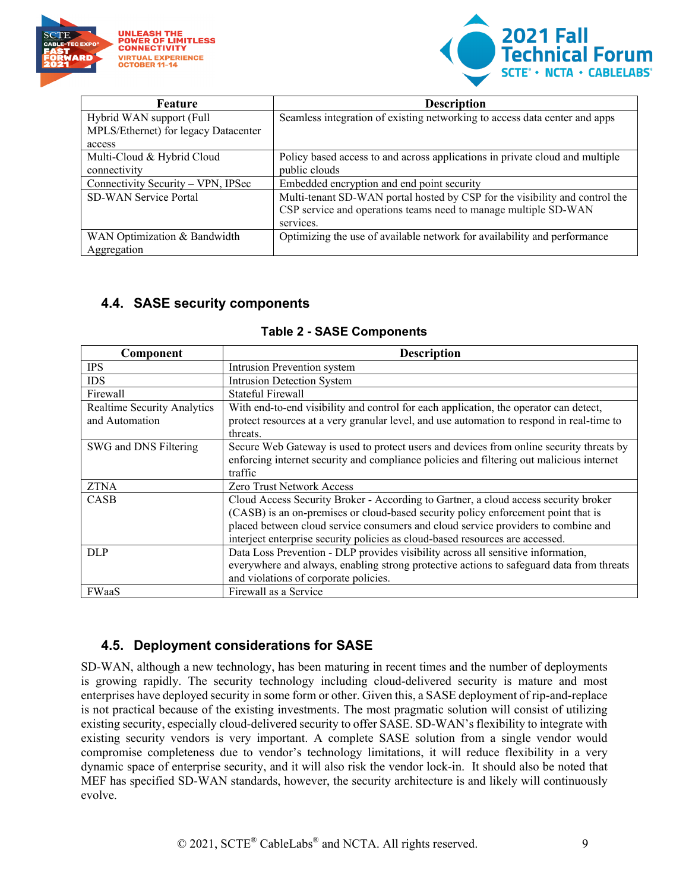



| Feature                              | <b>Description</b>                                                           |
|--------------------------------------|------------------------------------------------------------------------------|
| Hybrid WAN support (Full             | Seamless integration of existing networking to access data center and apps   |
| MPLS/Ethernet) for legacy Datacenter |                                                                              |
| access                               |                                                                              |
| Multi-Cloud & Hybrid Cloud           | Policy based access to and across applications in private cloud and multiple |
| connectivity                         | public clouds                                                                |
| Connectivity Security - VPN, IPSec   | Embedded encryption and end point security                                   |
| <b>SD-WAN Service Portal</b>         | Multi-tenant SD-WAN portal hosted by CSP for the visibility and control the  |
|                                      | CSP service and operations teams need to manage multiple SD-WAN              |
|                                      | services.                                                                    |
| WAN Optimization & Bandwidth         | Optimizing the use of available network for availability and performance     |
| Aggregation                          |                                                                              |

#### <span id="page-8-0"></span>**4.4. SASE security components**

<span id="page-8-2"></span>

| Component                          | <b>Description</b>                                                                        |
|------------------------------------|-------------------------------------------------------------------------------------------|
| <b>IPS</b>                         | Intrusion Prevention system                                                               |
| <b>IDS</b>                         | <b>Intrusion Detection System</b>                                                         |
| Firewall                           | <b>Stateful Firewall</b>                                                                  |
| <b>Realtime Security Analytics</b> | With end-to-end visibility and control for each application, the operator can detect,     |
| and Automation                     | protect resources at a very granular level, and use automation to respond in real-time to |
|                                    | threats.                                                                                  |
| SWG and DNS Filtering              | Secure Web Gateway is used to protect users and devices from online security threats by   |
|                                    | enforcing internet security and compliance policies and filtering out malicious internet  |
|                                    | traffic                                                                                   |
| <b>ZTNA</b>                        | Zero Trust Network Access                                                                 |
| CASB                               | Cloud Access Security Broker - According to Gartner, a cloud access security broker       |
|                                    | (CASB) is an on-premises or cloud-based security policy enforcement point that is         |
|                                    | placed between cloud service consumers and cloud service providers to combine and         |
|                                    | interject enterprise security policies as cloud-based resources are accessed.             |
| <b>DLP</b>                         | Data Loss Prevention - DLP provides visibility across all sensitive information,          |
|                                    | everywhere and always, enabling strong protective actions to safeguard data from threats  |
|                                    | and violations of corporate policies.                                                     |
| <b>FWaaS</b>                       | Firewall as a Service                                                                     |

#### **Table 2 - SASE Components**

#### <span id="page-8-1"></span>**4.5. Deployment considerations for SASE**

SD-WAN, although a new technology, has been maturing in recent times and the number of deployments is growing rapidly. The security technology including cloud-delivered security is mature and most enterprises have deployed security in some form or other. Given this, a SASE deployment of rip-and-replace is not practical because of the existing investments. The most pragmatic solution will consist of utilizing existing security, especially cloud-delivered security to offer SASE. SD-WAN's flexibility to integrate with existing security vendors is very important. A complete SASE solution from a single vendor would compromise completeness due to vendor's technology limitations, it will reduce flexibility in a very dynamic space of enterprise security, and it will also risk the vendor lock-in. It should also be noted that MEF has specified SD-WAN standards, however, the security architecture is and likely will continuously evolve.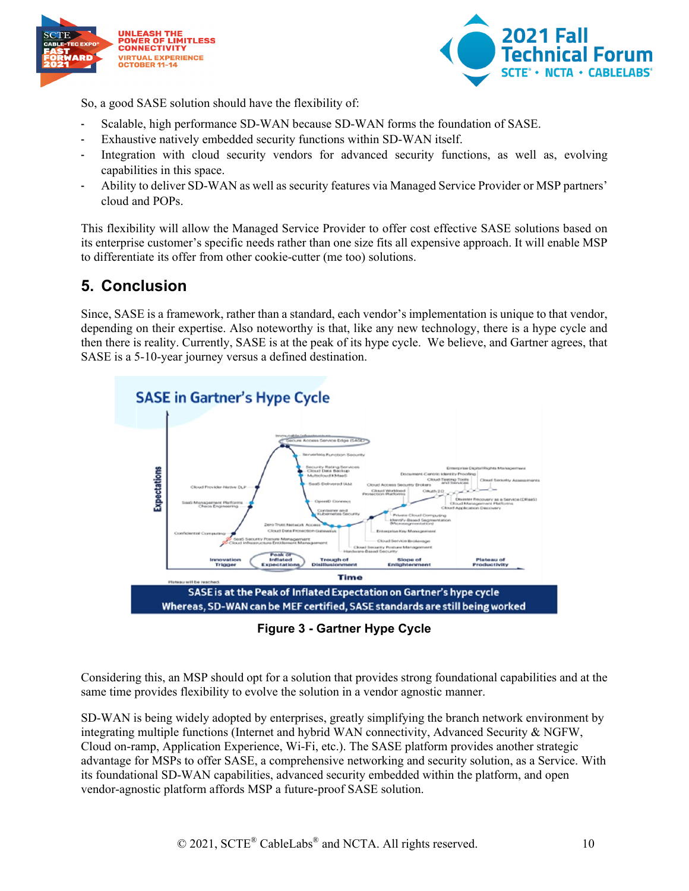



So, a good SASE solution should have the flexibility of:

- Scalable, high performance SD-WAN because SD-WAN forms the foundation of SASE.
- Exhaustive natively embedded security functions within SD-WAN itself.
- Integration with cloud security vendors for advanced security functions, as well as, evolving capabilities in this space.
- Ability to deliver SD-WAN as well as security features via Managed Service Provider or MSP partners' cloud and POPs.

This flexibility will allow the Managed Service Provider to offer cost effective SASE solutions based on its enterprise customer's specific needs rather than one size fits all expensive approach. It will enable MSP to differentiate its offer from other cookie-cutter (me too) solutions.

### <span id="page-9-0"></span>**5. Conclusion**

Since, SASE is a framework, rather than a standard, each vendor's implementation is unique to that vendor, depending on their expertise. Also noteworthy is that, like any new technology, there is a hype cycle and then there is reality. Currently, SASE is at the peak of its hype cycle. We believe, and Gartner agrees, that SASE is a 5-10-year journey versus a defined destination.



**Figure 3 - Gartner Hype Cycle**

<span id="page-9-1"></span>Considering this, an MSP should opt for a solution that provides strong foundational capabilities and at the same time provides flexibility to evolve the solution in a vendor agnostic manner.

SD-WAN is being widely adopted by enterprises, greatly simplifying the branch network environment by integrating multiple functions (Internet and hybrid WAN connectivity, Advanced Security & NGFW, Cloud on-ramp, Application Experience, Wi-Fi, etc.). The SASE platform provides another strategic advantage for MSPs to offer SASE, a comprehensive networking and security solution, as a Service. With its foundational SD-WAN capabilities, advanced security embedded within the platform, and open vendor-agnostic platform affords MSP a future-proof SASE solution.